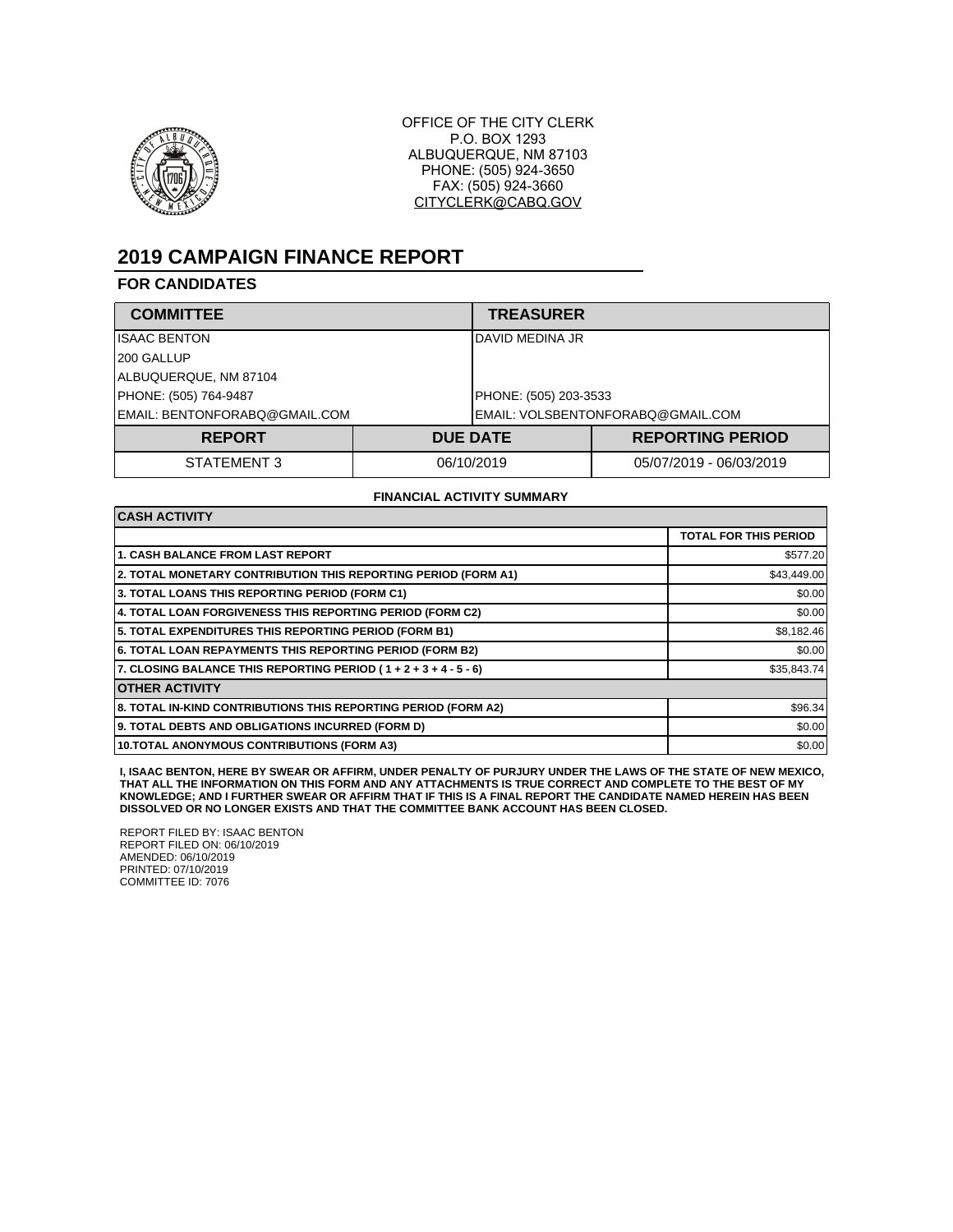

OFFICE OF THE CITY CLERK P.O. BOX 1293 ALBUQUERQUE, NM 87103 PHONE: (505) 924-3650 FAX: (505) 924-3660 CITYCLERK@CABQ.GOV

# **2019 CAMPAIGN FINANCE REPORT**

## **FOR CANDIDATES**

| <b>COMMITTEE</b>              |  | <b>TREASURER</b>                   |                         |  |
|-------------------------------|--|------------------------------------|-------------------------|--|
| <b>ISAAC BENTON</b>           |  | DAVID MEDINA JR                    |                         |  |
| 200 GALLUP                    |  |                                    |                         |  |
| ALBUQUERQUE, NM 87104         |  |                                    |                         |  |
| PHONE: (505) 764-9487         |  |                                    | PHONE: (505) 203-3533   |  |
| EMAIL: BENTONFORABQ@GMAIL.COM |  | IEMAIL: VOLSBENTONFORABQ@GMAIL.COM |                         |  |
| <b>REPORT</b>                 |  | <b>DUE DATE</b>                    | <b>REPORTING PERIOD</b> |  |
| STATEMENT 3                   |  | 06/10/2019                         | 05/07/2019 - 06/03/2019 |  |

#### **FINANCIAL ACTIVITY SUMMARY**

| <b>CASH ACTIVITY</b>                                            |                              |
|-----------------------------------------------------------------|------------------------------|
|                                                                 | <b>TOTAL FOR THIS PERIOD</b> |
| <b>1. CASH BALANCE FROM LAST REPORT</b>                         | \$577.20                     |
| 2. TOTAL MONETARY CONTRIBUTION THIS REPORTING PERIOD (FORM A1)  | \$43,449.00                  |
| 3. TOTAL LOANS THIS REPORTING PERIOD (FORM C1)                  | \$0.00                       |
| 4. TOTAL LOAN FORGIVENESS THIS REPORTING PERIOD (FORM C2)       | \$0.00                       |
| 5. TOTAL EXPENDITURES THIS REPORTING PERIOD (FORM B1)           | \$8,182.46                   |
| <b>6. TOTAL LOAN REPAYMENTS THIS REPORTING PERIOD (FORM B2)</b> | \$0.00                       |
| 7. CLOSING BALANCE THIS REPORTING PERIOD (1+2+3+4-5-6)          | \$35,843.74                  |
| <b>OTHER ACTIVITY</b>                                           |                              |
| 8. TOTAL IN-KIND CONTRIBUTIONS THIS REPORTING PERIOD (FORM A2)  | \$96.34                      |
| 9. TOTAL DEBTS AND OBLIGATIONS INCURRED (FORM D)                | \$0.00                       |
| 10. TOTAL ANONYMOUS CONTRIBUTIONS (FORM A3)                     | \$0.00                       |

I, ISAAC BENTON, HERE BY SWEAR OR AFFIRM, UNDER PENALTY OF PURJURY UNDER THE LAWS OF THE STATE OF NEW MEXICO,<br>THAT ALL THE INFORMATION ON THIS FORM AND ANY ATTACHMENTS IS TRUE CORRECT AND COMPLETE TO THE BEST OF MY<br>KNOWLED

REPORT FILED BY: ISAAC BENTON REPORT FILED ON: 06/10/2019 AMENDED: 06/10/2019 PRINTED: 07/10/2019 COMMITTEE ID: 7076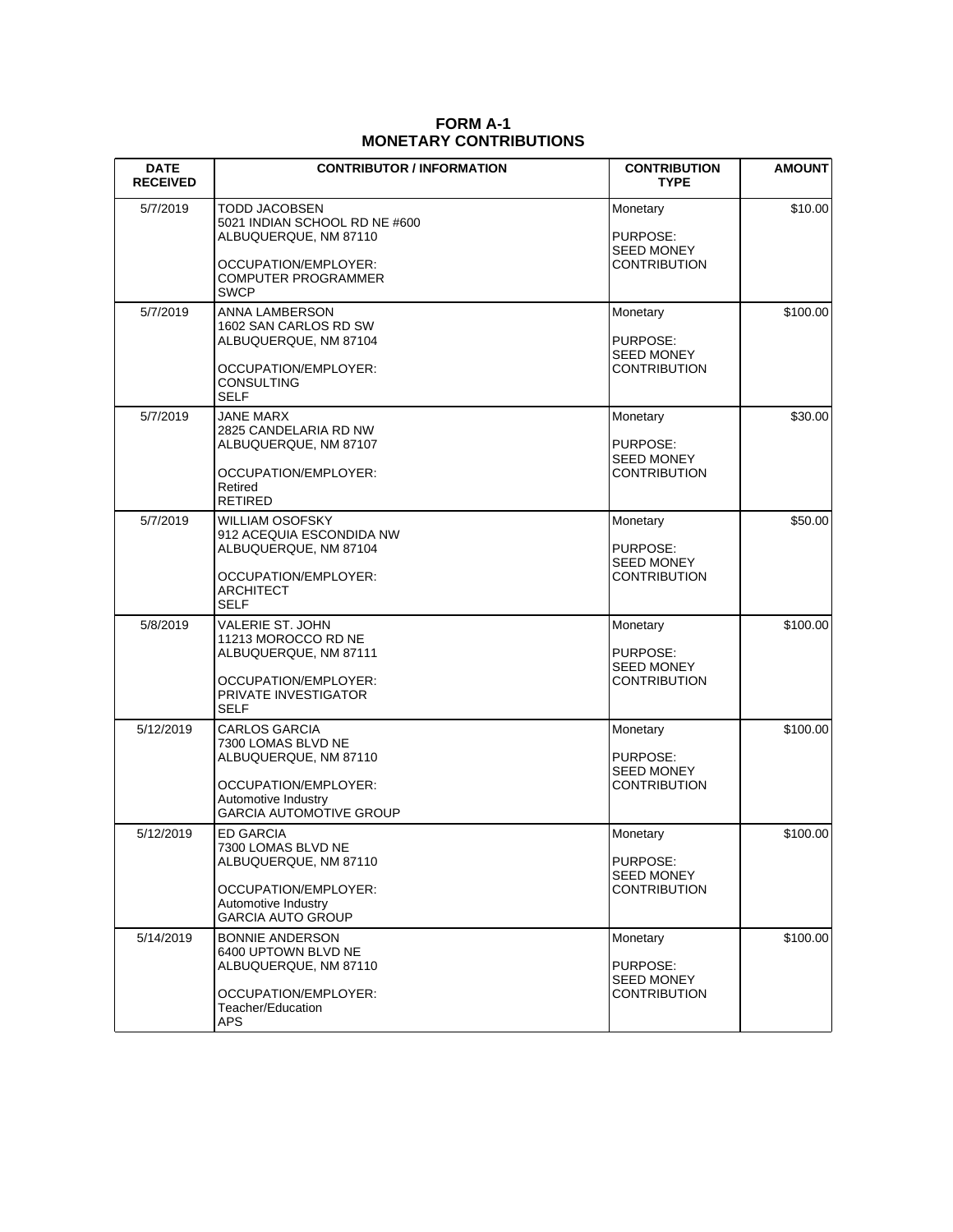## **FORM A-1 MONETARY CONTRIBUTIONS**

| <b>DATE</b><br><b>RECEIVED</b> | <b>CONTRIBUTOR / INFORMATION</b>                                                                                                                     | <b>CONTRIBUTION</b><br><b>TYPE</b>                               | <b>AMOUNT</b> |
|--------------------------------|------------------------------------------------------------------------------------------------------------------------------------------------------|------------------------------------------------------------------|---------------|
| 5/7/2019                       | TODD JACOBSEN<br>5021 INDIAN SCHOOL RD NE #600<br>ALBUQUERQUE, NM 87110<br>OCCUPATION/EMPLOYER:<br><b>COMPUTER PROGRAMMER</b><br><b>SWCP</b>         | Monetary<br>PURPOSE:<br><b>SEED MONEY</b><br><b>CONTRIBUTION</b> | \$10.00       |
| 5/7/2019                       | <b>ANNA LAMBERSON</b><br>1602 SAN CARLOS RD SW<br>ALBUQUERQUE, NM 87104<br>OCCUPATION/EMPLOYER:<br>CONSULTING<br><b>SELF</b>                         | Monetary<br>PURPOSE:<br><b>SEED MONEY</b><br><b>CONTRIBUTION</b> | \$100.00      |
| 5/7/2019                       | JANE MARX<br>2825 CANDELARIA RD NW<br>ALBUQUERQUE, NM 87107<br>OCCUPATION/EMPLOYER:<br>Retired<br>RETIRED                                            | Monetary<br>PURPOSE:<br><b>SEED MONEY</b><br>CONTRIBUTION        | \$30.00       |
| 5/7/2019                       | WILLIAM OSOFSKY<br>912 ACEQUIA ESCONDIDA NW<br>ALBUQUERQUE, NM 87104<br>OCCUPATION/EMPLOYER:<br>ARCHITECT<br><b>SELF</b>                             | Monetary<br>PURPOSE:<br><b>SEED MONEY</b><br>CONTRIBUTION        | \$50.00       |
| 5/8/2019                       | VALERIE ST. JOHN<br>11213 MOROCCO RD NE<br>ALBUQUERQUE, NM 87111<br>OCCUPATION/EMPLOYER:<br>PRIVATE INVESTIGATOR<br><b>SELF</b>                      | Monetary<br>PURPOSE:<br><b>SEED MONEY</b><br><b>CONTRIBUTION</b> | \$100.00      |
| 5/12/2019                      | <b>CARLOS GARCIA</b><br>7300 LOMAS BLVD NE<br>ALBUQUERQUE, NM 87110<br>OCCUPATION/EMPLOYER:<br>Automotive Industry<br><b>GARCIA AUTOMOTIVE GROUP</b> | Monetary<br>PURPOSE:<br><b>SEED MONEY</b><br>CONTRIBUTION        | \$100.00      |
| 5/12/2019                      | <b>ED GARCIA</b><br>7300 LOMAS BLVD NE<br>ALBUQUERQUE, NM 87110<br>OCCUPATION/EMPLOYER:<br>Automotive Industry<br><b>GARCIA AUTO GROUP</b>           | Monetary<br>PURPOSE:<br><b>SEED MONEY</b><br><b>CONTRIBUTION</b> | \$100.00      |
| 5/14/2019                      | <b>BONNIE ANDERSON</b><br>6400 UPTOWN BLVD NE<br>ALBUQUERQUE, NM 87110<br>OCCUPATION/EMPLOYER:<br>Teacher/Education<br>APS                           | Monetary<br>PURPOSE:<br><b>SEED MONEY</b><br><b>CONTRIBUTION</b> | \$100.00      |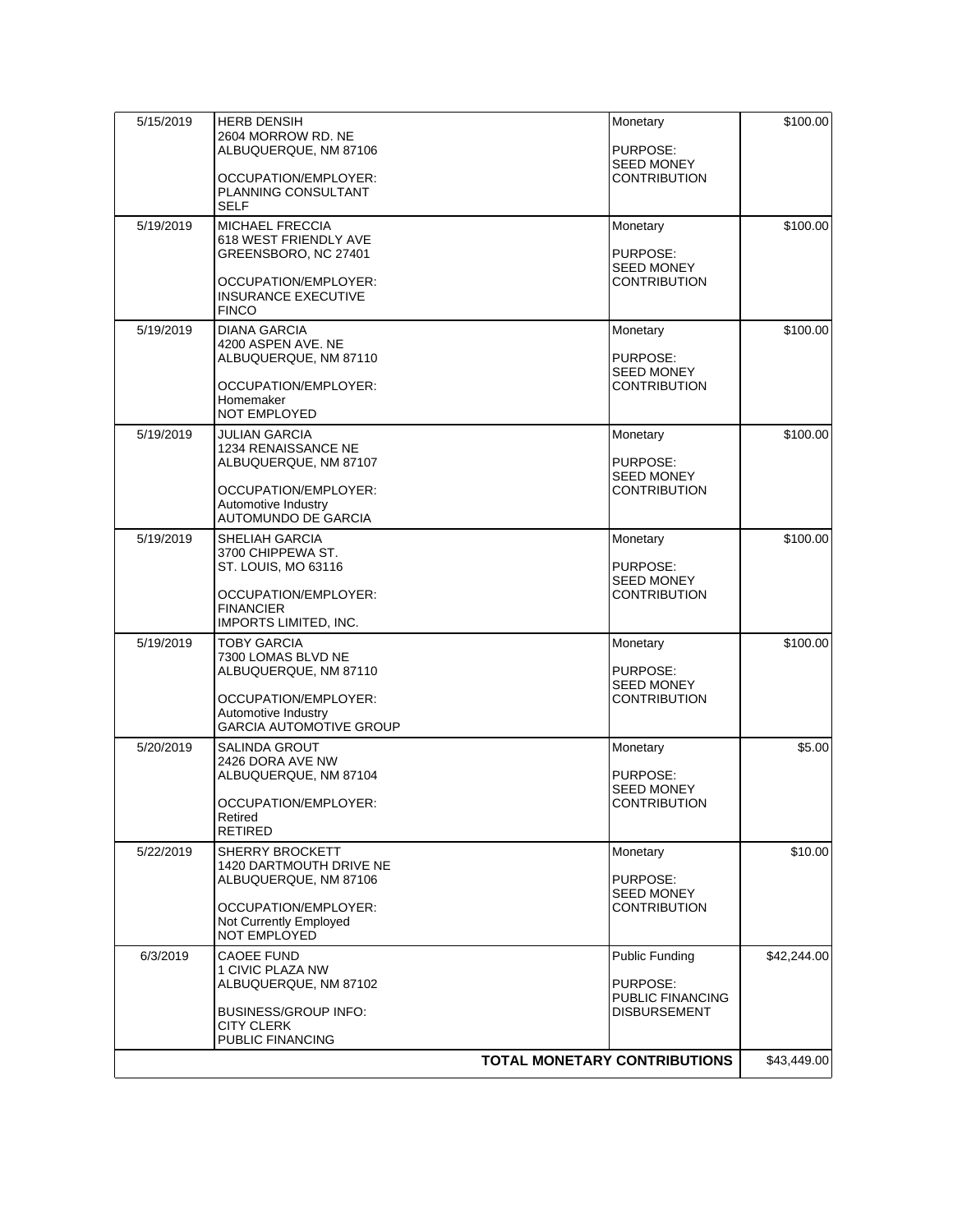| 5/15/2019                           | <b>HERB DENSIH</b><br>2604 MORROW RD. NE<br>ALBUQUERQUE, NM 87106<br>OCCUPATION/EMPLOYER:                                     | Monetary<br>PURPOSE:<br><b>SEED MONEY</b><br>CONTRIBUTION        | \$100.00    |
|-------------------------------------|-------------------------------------------------------------------------------------------------------------------------------|------------------------------------------------------------------|-------------|
|                                     | PLANNING CONSULTANT<br><b>SELF</b>                                                                                            |                                                                  |             |
| 5/19/2019                           | <b>MICHAEL FRECCIA</b><br>618 WEST FRIENDLY AVE<br>GREENSBORO, NC 27401<br>OCCUPATION/EMPLOYER:<br><b>INSURANCE EXECUTIVE</b> | Monetary<br>PURPOSE:<br><b>SEED MONEY</b><br>CONTRIBUTION        | \$100.00    |
|                                     | <b>FINCO</b>                                                                                                                  |                                                                  |             |
| 5/19/2019                           | <b>DIANA GARCIA</b><br>4200 ASPEN AVE. NE<br>ALBUQUERQUE, NM 87110<br>OCCUPATION/EMPLOYER:                                    | Monetary<br>PURPOSE:<br><b>SEED MONEY</b><br>CONTRIBUTION        | \$100.00    |
|                                     | Homemaker<br>NOT EMPLOYED                                                                                                     |                                                                  |             |
| 5/19/2019                           | JULIAN GARCIA<br>1234 RENAISSANCE NE<br>ALBUQUERQUE, NM 87107                                                                 | Monetary<br>PURPOSE:<br><b>SEED MONEY</b>                        | \$100.00    |
|                                     | OCCUPATION/EMPLOYER:<br>Automotive Industry<br>AUTOMUNDO DE GARCIA                                                            | CONTRIBUTION                                                     |             |
| 5/19/2019                           | SHELIAH GARCIA<br>3700 CHIPPEWA ST.<br>ST. LOUIS, MO 63116                                                                    | Monetary<br>PURPOSE:<br><b>SEED MONEY</b>                        | \$100.00    |
|                                     | OCCUPATION/EMPLOYER:<br><b>FINANCIER</b><br>IMPORTS LIMITED, INC.                                                             | CONTRIBUTION                                                     |             |
| 5/19/2019                           | TOBY GARCIA<br>7300 LOMAS BLVD NE<br>ALBUQUERQUE, NM 87110                                                                    | Monetary<br>PURPOSE:<br><b>SEED MONEY</b>                        | \$100.00    |
|                                     | OCCUPATION/EMPLOYER:<br>Automotive Industry<br><b>GARCIA AUTOMOTIVE GROUP</b>                                                 | <b>CONTRIBUTION</b>                                              |             |
| 5/20/2019                           | SALINDA GROUT<br>2426 DORA AVE NW<br>ALBUQUERQUE, NM 87104<br>OCCUPATION/EMPLOYER:<br>Retired                                 | Monetary<br>PURPOSE:<br><b>SEED MONEY</b><br><b>CONTRIBUTION</b> | \$5.00      |
| 5/22/2019                           | <b>RETIRED</b><br>SHERRY BROCKETT                                                                                             |                                                                  | \$10.00     |
|                                     | 1420 DARTMOUTH DRIVE NE<br>ALBUQUERQUE, NM 87106                                                                              | Monetary<br>PURPOSE:<br><b>SEED MONEY</b>                        |             |
|                                     | OCCUPATION/EMPLOYER:<br>Not Currently Employed<br>NOT EMPLOYED                                                                | CONTRIBUTION                                                     |             |
| 6/3/2019                            | <b>CAOEE FUND</b><br>1 CIVIC PLAZA NW<br>ALBUQUERQUE, NM 87102                                                                | Public Funding<br>PURPOSE:<br>PUBLIC FINANCING                   | \$42,244.00 |
|                                     | <b>BUSINESS/GROUP INFO:</b><br><b>CITY CLERK</b><br>PUBLIC FINANCING                                                          | <b>DISBURSEMENT</b>                                              |             |
| <b>TOTAL MONETARY CONTRIBUTIONS</b> |                                                                                                                               |                                                                  | \$43,449.00 |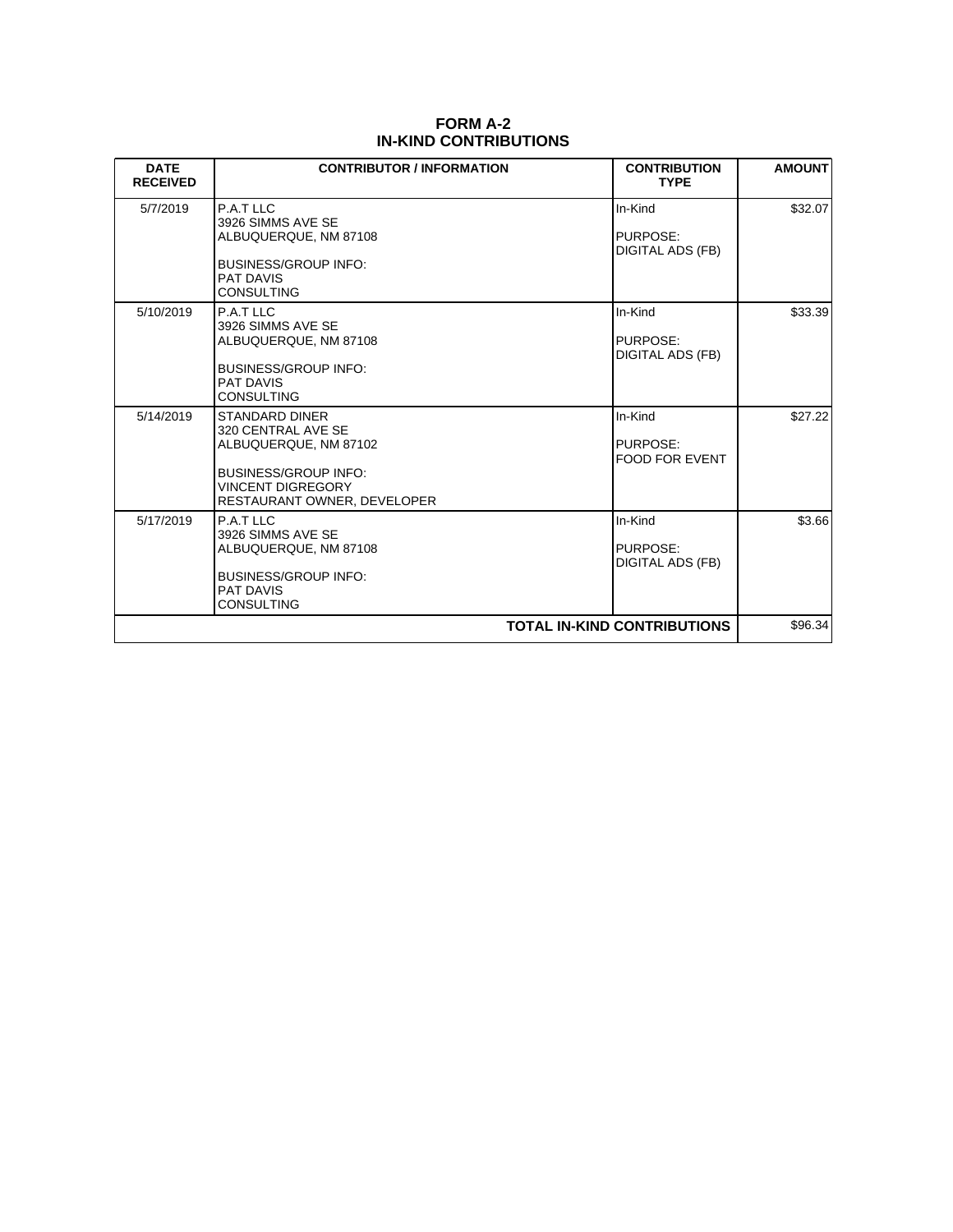| <b>FORM A-2</b>              |
|------------------------------|
| <b>IN-KIND CONTRIBUTIONS</b> |

| <b>DATE</b><br><b>RECEIVED</b>     | <b>CONTRIBUTOR / INFORMATION</b>                                                                                                                               | <b>CONTRIBUTION</b><br><b>TYPE</b>           | <b>AMOUNT</b> |
|------------------------------------|----------------------------------------------------------------------------------------------------------------------------------------------------------------|----------------------------------------------|---------------|
| 5/7/2019                           | P.A.T LLC<br>3926 SIMMS AVE SE<br>ALBUQUERQUE, NM 87108<br><b>BUSINESS/GROUP INFO:</b><br><b>PAT DAVIS</b><br><b>CONSULTING</b>                                | In-Kind<br>PURPOSE:<br>DIGITAL ADS (FB)      | \$32.07       |
| 5/10/2019                          | P.A.T LLC<br>3926 SIMMS AVE SE<br>ALBUQUERQUE, NM 87108<br><b>BUSINESS/GROUP INFO:</b><br>PAT DAVIS<br><b>CONSULTING</b>                                       | In-Kind<br>PURPOSE:<br>DIGITAL ADS (FB)      | \$33.39       |
| 5/14/2019                          | <b>STANDARD DINER</b><br>320 CENTRAL AVE SE<br>ALBUQUERQUE, NM 87102<br><b>BUSINESS/GROUP INFO:</b><br><b>VINCENT DIGREGORY</b><br>RESTAURANT OWNER, DEVELOPER | In-Kind<br>PURPOSE:<br><b>FOOD FOR EVENT</b> | \$27.22       |
| 5/17/2019                          | P.A.T LLC<br>3926 SIMMS AVE SE<br>ALBUQUERQUE, NM 87108<br><b>BUSINESS/GROUP INFO:</b><br><b>PAT DAVIS</b><br><b>CONSULTING</b>                                | In-Kind<br>PURPOSE:<br>DIGITAL ADS (FB)      | \$3.66        |
| <b>TOTAL IN-KIND CONTRIBUTIONS</b> |                                                                                                                                                                |                                              | \$96.34       |